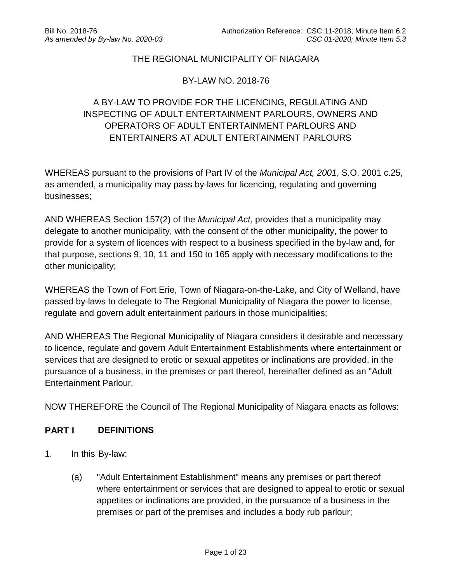### THE REGIONAL MUNICIPALITY OF NIAGARA

#### BY-LAW NO. 2018-76

# A BY-LAW TO PROVIDE FOR THE LICENCING, REGULATING AND INSPECTING OF ADULT ENTERTAINMENT PARLOURS, OWNERS AND OPERATORS OF ADULT ENTERTAINMENT PARLOURS AND ENTERTAINERS AT ADULT ENTERTAINMENT PARLOURS

WHEREAS pursuant to the provisions of Part IV of the *Municipal Act, 2001*, S.O. 2001 c.25, as amended, a municipality may pass by-laws for licencing, regulating and governing businesses;

AND WHEREAS Section 157(2) of the *Municipal Act,* provides that a municipality may delegate to another municipality, with the consent of the other municipality, the power to provide for a system of licences with respect to a business specified in the by-law and, for that purpose, sections 9, 10, 11 and 150 to 165 apply with necessary modifications to the other municipality;

WHEREAS the Town of Fort Erie, Town of Niagara-on-the-Lake, and City of Welland, have passed by-laws to delegate to The Regional Municipality of Niagara the power to license, regulate and govern adult entertainment parlours in those municipalities;

AND WHEREAS The Regional Municipality of Niagara considers it desirable and necessary to licence, regulate and govern Adult Entertainment Establishments where entertainment or services that are designed to erotic or sexual appetites or inclinations are provided, in the pursuance of a business, in the premises or part thereof, hereinafter defined as an "Adult Entertainment Parlour.

NOW THEREFORE the Council of The Regional Municipality of Niagara enacts as follows:

#### **PART I DEFINITIONS**

- 1. In this By-law:
	- (a) "Adult Entertainment Establishment" means any premises or part thereof where entertainment or services that are designed to appeal to erotic or sexual appetites or inclinations are provided, in the pursuance of a business in the premises or part of the premises and includes a body rub parlour;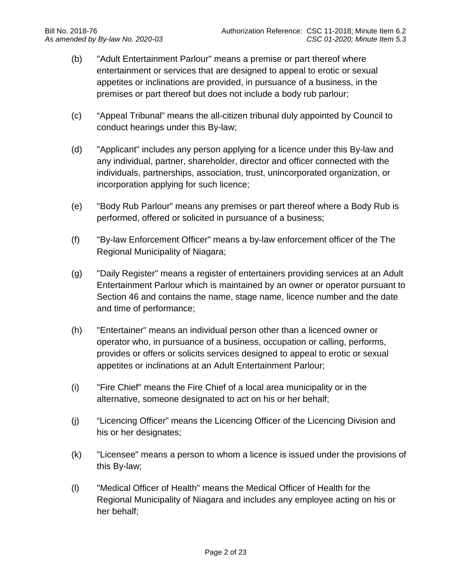- (b) "Adult Entertainment Parlour" means a premise or part thereof where entertainment or services that are designed to appeal to erotic or sexual appetites or inclinations are provided, in pursuance of a business, in the premises or part thereof but does not include a body rub parlour;
- (c) "Appeal Tribunal" means the all-citizen tribunal duly appointed by Council to conduct hearings under this By-law;
- (d) "Applicant" includes any person applying for a licence under this By-law and any individual, partner, shareholder, director and officer connected with the individuals, partnerships, association, trust, unincorporated organization, or incorporation applying for such licence;
- (e) "Body Rub Parlour" means any premises or part thereof where a Body Rub is performed, offered or solicited in pursuance of a business;
- (f) "By-law Enforcement Officer" means a by-law enforcement officer of the The Regional Municipality of Niagara;
- (g) "Daily Register" means a register of entertainers providing services at an Adult Entertainment Parlour which is maintained by an owner or operator pursuant to Section 46 and contains the name, stage name, licence number and the date and time of performance;
- (h) "Entertainer" means an individual person other than a licenced owner or operator who, in pursuance of a business, occupation or calling, performs, provides or offers or solicits services designed to appeal to erotic or sexual appetites or inclinations at an Adult Entertainment Parlour;
- (i) "Fire Chief" means the Fire Chief of a local area municipality or in the alternative, someone designated to act on his or her behalf;
- (j) "Licencing Officer" means the Licencing Officer of the Licencing Division and his or her designates;
- (k) "Licensee" means a person to whom a licence is issued under the provisions of this By-law;
- (l) "Medical Officer of Health" means the Medical Officer of Health for the Regional Municipality of Niagara and includes any employee acting on his or her behalf;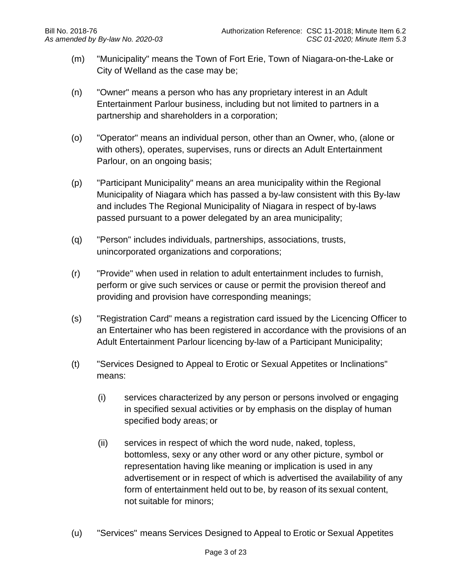- (m) "Municipality" means the Town of Fort Erie, Town of Niagara-on-the-Lake or City of Welland as the case may be;
- (n) "Owner" means a person who has any proprietary interest in an Adult Entertainment Parlour business, including but not limited to partners in a partnership and shareholders in a corporation;
- (o) "Operator" means an individual person, other than an Owner, who, (alone or with others), operates, supervises, runs or directs an Adult Entertainment Parlour, on an ongoing basis;
- (p) "Participant Municipality" means an area municipality within the Regional Municipality of Niagara which has passed a by-law consistent with this By-law and includes The Regional Municipality of Niagara in respect of by-laws passed pursuant to a power delegated by an area municipality;
- (q) "Person" includes individuals, partnerships, associations, trusts, unincorporated organizations and corporations;
- (r) "Provide" when used in relation to adult entertainment includes to furnish, perform or give such services or cause or permit the provision thereof and providing and provision have corresponding meanings;
- (s) "Registration Card" means a registration card issued by the Licencing Officer to an Entertainer who has been registered in accordance with the provisions of an Adult Entertainment Parlour licencing by-law of a Participant Municipality;
- (t) "Services Designed to Appeal to Erotic or Sexual Appetites or Inclinations" means:
	- (i) services characterized by any person or persons involved or engaging in specified sexual activities or by emphasis on the display of human specified body areas; or
	- (ii) services in respect of which the word nude, naked, topless, bottomless, sexy or any other word or any other picture, symbol or representation having like meaning or implication is used in any advertisement or in respect of which is advertised the availability of any form of entertainment held out to be, by reason of its sexual content, not suitable for minors;
- (u) "Services" means Services Designed to Appeal to Erotic or Sexual Appetites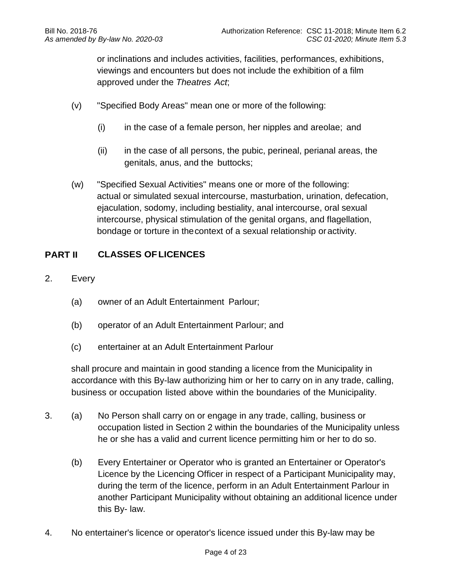or inclinations and includes activities, facilities, performances, exhibitions, viewings and encounters but does not include the exhibition of a film approved under the *Theatres Act*;

- (v) "Specified Body Areas" mean one or more of the following:
	- (i) in the case of a female person, her nipples and areolae; and
	- (ii) in the case of all persons, the pubic, perineal, perianal areas, the genitals, anus, and the buttocks;
- (w) "Specified Sexual Activities" means one or more of the following: actual or simulated sexual intercourse, masturbation, urination, defecation, ejaculation, sodomy, including bestiality, anal intercourse, oral sexual intercourse, physical stimulation of the genital organs, and flagellation, bondage or torture in thecontext of a sexual relationship oractivity.

## **PART II CLASSES OFLICENCES**

- 2. Every
	- (a) owner of an Adult Entertainment Parlour;
	- (b) operator of an Adult Entertainment Parlour; and
	- (c) entertainer at an Adult Entertainment Parlour

shall procure and maintain in good standing a licence from the Municipality in accordance with this By-law authorizing him or her to carry on in any trade, calling, business or occupation listed above within the boundaries of the Municipality.

- 3. (a) No Person shall carry on or engage in any trade, calling, business or occupation listed in Section 2 within the boundaries of the Municipality unless he or she has a valid and current licence permitting him or her to do so.
	- (b) Every Entertainer or Operator who is granted an Entertainer or Operator's Licence by the Licencing Officer in respect of a Participant Municipality may, during the term of the licence, perform in an Adult Entertainment Parlour in another Participant Municipality without obtaining an additional licence under this By- law.
- 4. No entertainer's licence or operator's licence issued under this By-law may be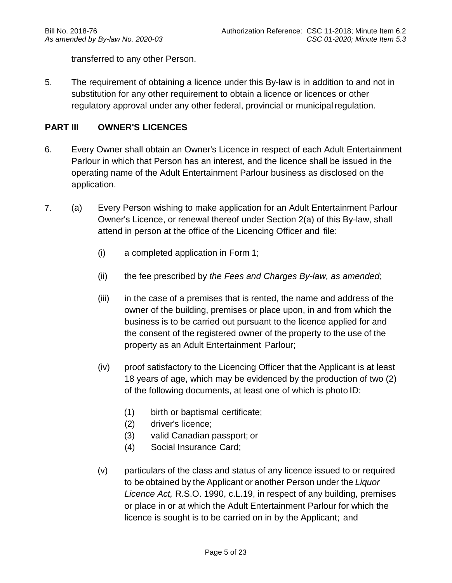transferred to any other Person.

5. The requirement of obtaining a licence under this By-law is in addition to and not in substitution for any other requirement to obtain a licence or licences or other regulatory approval under any other federal, provincial or municipal regulation.

### **PART III OWNER'S LICENCES**

- 6. Every Owner shall obtain an Owner's Licence in respect of each Adult Entertainment Parlour in which that Person has an interest, and the licence shall be issued in the operating name of the Adult Entertainment Parlour business as disclosed on the application.
- 7. (a) Every Person wishing to make application for an Adult Entertainment Parlour Owner's Licence, or renewal thereof under Section 2(a) of this By-law, shall attend in person at the office of the Licencing Officer and file:
	- (i) a completed application in Form 1;
	- (ii) the fee prescribed by *the Fees and Charges By-law, as amended*;
	- (iii) in the case of a premises that is rented, the name and address of the owner of the building, premises or place upon, in and from which the business is to be carried out pursuant to the licence applied for and the consent of the registered owner of the property to the use of the property as an Adult Entertainment Parlour;
	- (iv) proof satisfactory to the Licencing Officer that the Applicant is at least 18 years of age, which may be evidenced by the production of two (2) of the following documents, at least one of which is photo ID:
		- (1) birth or baptismal certificate;
		- (2) driver's licence;
		- (3) valid Canadian passport; or
		- (4) Social Insurance Card;
	- (v) particulars of the class and status of any licence issued to or required to be obtained by the Applicant or another Person under the *Liquor Licence Act,* R.S.O. 1990, c.L.19, in respect of any building, premises or place in or at which the Adult Entertainment Parlour for which the licence is sought is to be carried on in by the Applicant; and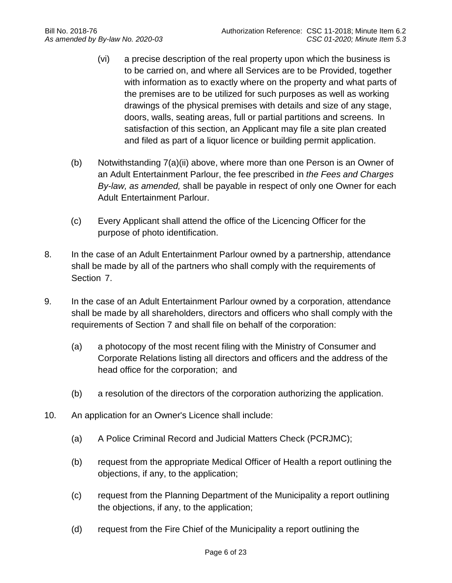- (vi) a precise description of the real property upon which the business is to be carried on, and where all Services are to be Provided, together with information as to exactly where on the property and what parts of the premises are to be utilized for such purposes as well as working drawings of the physical premises with details and size of any stage, doors, walls, seating areas, full or partial partitions and screens. In satisfaction of this section, an Applicant may file a site plan created and filed as part of a liquor licence or building permit application.
- (b) Notwithstanding 7(a)(ii) above, where more than one Person is an Owner of an Adult Entertainment Parlour, the fee prescribed in *the Fees and Charges By-law, as amended,* shall be payable in respect of only one Owner for each Adult Entertainment Parlour.
- (c) Every Applicant shall attend the office of the Licencing Officer for the purpose of photo identification.
- 8. In the case of an Adult Entertainment Parlour owned by a partnership, attendance shall be made by all of the partners who shall comply with the requirements of Section 7.
- 9. In the case of an Adult Entertainment Parlour owned by a corporation, attendance shall be made by all shareholders, directors and officers who shall comply with the requirements of Section 7 and shall file on behalf of the corporation:
	- (a) a photocopy of the most recent filing with the Ministry of Consumer and Corporate Relations listing all directors and officers and the address of the head office for the corporation; and
	- (b) a resolution of the directors of the corporation authorizing the application.
- 10. An application for an Owner's Licence shall include:
	- (a) A Police Criminal Record and Judicial Matters Check (PCRJMC);
	- (b) request from the appropriate Medical Officer of Health a report outlining the objections, if any, to the application;
	- (c) request from the Planning Department of the Municipality a report outlining the objections, if any, to the application;
	- (d) request from the Fire Chief of the Municipality a report outlining the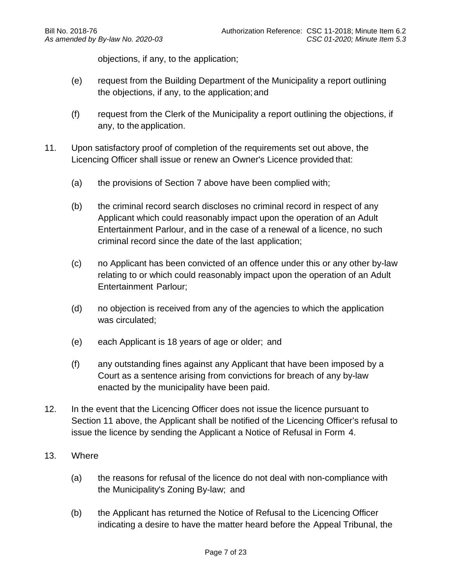objections, if any, to the application;

- (e) request from the Building Department of the Municipality a report outlining the objections, if any, to the application;and
- (f) request from the Clerk of the Municipality a report outlining the objections, if any, to the application.
- 11. Upon satisfactory proof of completion of the requirements set out above, the Licencing Officer shall issue or renew an Owner's Licence provided that:
	- (a) the provisions of Section 7 above have been complied with;
	- (b) the criminal record search discloses no criminal record in respect of any Applicant which could reasonably impact upon the operation of an Adult Entertainment Parlour, and in the case of a renewal of a licence, no such criminal record since the date of the last application;
	- (c) no Applicant has been convicted of an offence under this or any other by-law relating to or which could reasonably impact upon the operation of an Adult Entertainment Parlour;
	- (d) no objection is received from any of the agencies to which the application was circulated;
	- (e) each Applicant is 18 years of age or older; and
	- (f) any outstanding fines against any Applicant that have been imposed by a Court as a sentence arising from convictions for breach of any by-law enacted by the municipality have been paid.
- 12. In the event that the Licencing Officer does not issue the licence pursuant to Section 11 above, the Applicant shall be notified of the Licencing Officer's refusal to issue the licence by sending the Applicant a Notice of Refusal in Form 4.
- 13. Where
	- (a) the reasons for refusal of the licence do not deal with non-compliance with the Municipality's Zoning By-law; and
	- (b) the Applicant has returned the Notice of Refusal to the Licencing Officer indicating a desire to have the matter heard before the Appeal Tribunal, the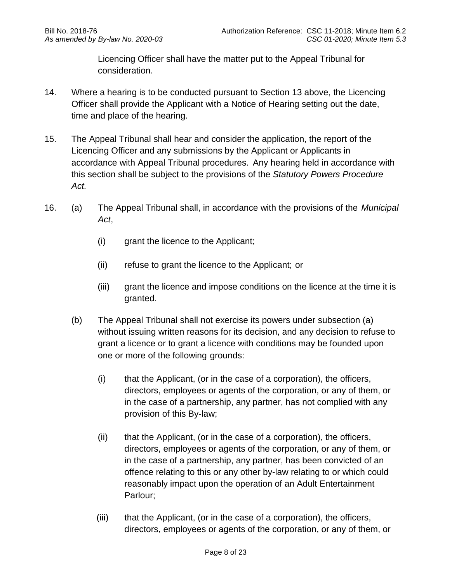Licencing Officer shall have the matter put to the Appeal Tribunal for consideration.

- 14. Where a hearing is to be conducted pursuant to Section 13 above, the Licencing Officer shall provide the Applicant with a Notice of Hearing setting out the date, time and place of the hearing.
- 15. The Appeal Tribunal shall hear and consider the application, the report of the Licencing Officer and any submissions by the Applicant or Applicants in accordance with Appeal Tribunal procedures. Any hearing held in accordance with this section shall be subject to the provisions of the *Statutory Powers Procedure Act.*
- 16. (a) The Appeal Tribunal shall, in accordance with the provisions of the *Municipal Act*,
	- (i) grant the licence to the Applicant;
	- (ii) refuse to grant the licence to the Applicant; or
	- (iii) grant the licence and impose conditions on the licence at the time it is granted.
	- (b) The Appeal Tribunal shall not exercise its powers under subsection (a) without issuing written reasons for its decision, and any decision to refuse to grant a licence or to grant a licence with conditions may be founded upon one or more of the following grounds:
		- (i) that the Applicant, (or in the case of a corporation), the officers, directors, employees or agents of the corporation, or any of them, or in the case of a partnership, any partner, has not complied with any provision of this By-law;
		- (ii) that the Applicant, (or in the case of a corporation), the officers, directors, employees or agents of the corporation, or any of them, or in the case of a partnership, any partner, has been convicted of an offence relating to this or any other by-law relating to or which could reasonably impact upon the operation of an Adult Entertainment Parlour;
		- (iii) that the Applicant, (or in the case of a corporation), the officers, directors, employees or agents of the corporation, or any of them, or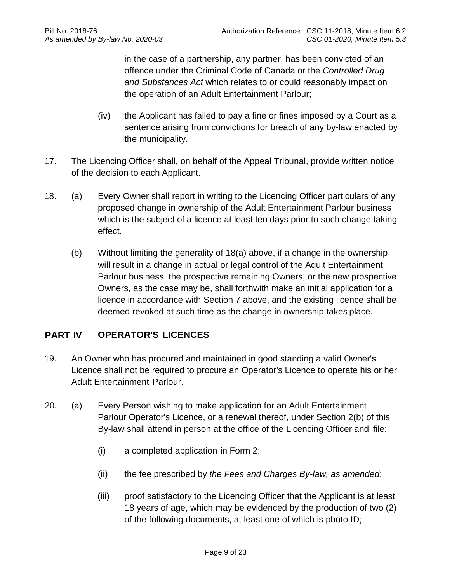in the case of a partnership, any partner, has been convicted of an offence under the Criminal Code of Canada or the *Controlled Drug and Substances Act* which relates to or could reasonably impact on the operation of an Adult Entertainment Parlour;

- (iv) the Applicant has failed to pay a fine or fines imposed by a Court as a sentence arising from convictions for breach of any by-law enacted by the municipality.
- 17. The Licencing Officer shall, on behalf of the Appeal Tribunal, provide written notice of the decision to each Applicant.
- 18. (a) Every Owner shall report in writing to the Licencing Officer particulars of any proposed change in ownership of the Adult Entertainment Parlour business which is the subject of a licence at least ten days prior to such change taking effect.
	- (b) Without limiting the generality of 18(a) above, if a change in the ownership will result in a change in actual or legal control of the Adult Entertainment Parlour business, the prospective remaining Owners, or the new prospective Owners, as the case may be, shall forthwith make an initial application for a licence in accordance with Section 7 above, and the existing licence shall be deemed revoked at such time as the change in ownership takes place.

## **PART IV OPERATOR'S LICENCES**

- 19. An Owner who has procured and maintained in good standing a valid Owner's Licence shall not be required to procure an Operator's Licence to operate his or her Adult Entertainment Parlour.
- 20. (a) Every Person wishing to make application for an Adult Entertainment Parlour Operator's Licence, or a renewal thereof, under Section 2(b) of this By-law shall attend in person at the office of the Licencing Officer and file:
	- (i) a completed application in Form 2;
	- (ii) the fee prescribed by *the Fees and Charges By-law, as amended*;
	- (iii) proof satisfactory to the Licencing Officer that the Applicant is at least 18 years of age, which may be evidenced by the production of two (2) of the following documents, at least one of which is photo ID;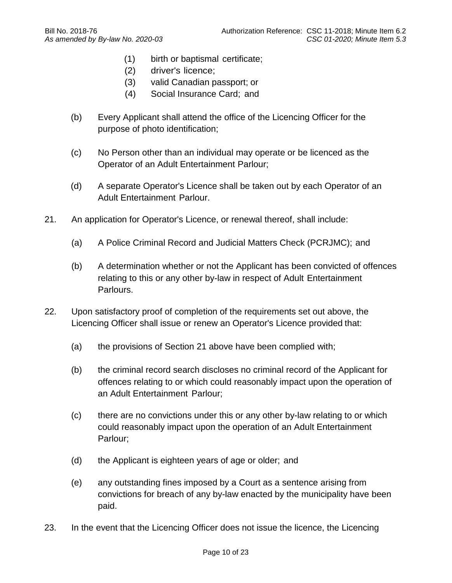- (1) birth or baptismal certificate;
- (2) driver's licence;
- (3) valid Canadian passport; or
- (4) Social Insurance Card; and
- (b) Every Applicant shall attend the office of the Licencing Officer for the purpose of photo identification;
- (c) No Person other than an individual may operate or be licenced as the Operator of an Adult Entertainment Parlour;
- (d) A separate Operator's Licence shall be taken out by each Operator of an Adult Entertainment Parlour.
- 21. An application for Operator's Licence, or renewal thereof, shall include:
	- (a) A Police Criminal Record and Judicial Matters Check (PCRJMC); and
	- (b) A determination whether or not the Applicant has been convicted of offences relating to this or any other by-law in respect of Adult Entertainment Parlours.
- 22. Upon satisfactory proof of completion of the requirements set out above, the Licencing Officer shall issue or renew an Operator's Licence provided that:
	- (a) the provisions of Section 21 above have been complied with;
	- (b) the criminal record search discloses no criminal record of the Applicant for offences relating to or which could reasonably impact upon the operation of an Adult Entertainment Parlour;
	- (c) there are no convictions under this or any other by-law relating to or which could reasonably impact upon the operation of an Adult Entertainment Parlour;
	- (d) the Applicant is eighteen years of age or older; and
	- (e) any outstanding fines imposed by a Court as a sentence arising from convictions for breach of any by-law enacted by the municipality have been paid.
- 23. In the event that the Licencing Officer does not issue the licence, the Licencing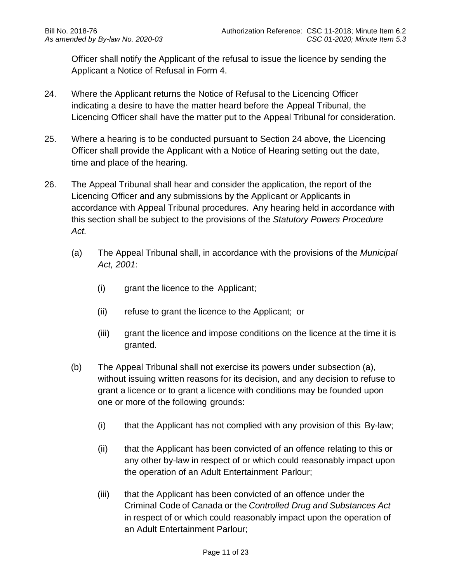Officer shall notify the Applicant of the refusal to issue the licence by sending the Applicant a Notice of Refusal in Form 4.

- 24. Where the Applicant returns the Notice of Refusal to the Licencing Officer indicating a desire to have the matter heard before the Appeal Tribunal, the Licencing Officer shall have the matter put to the Appeal Tribunal for consideration.
- 25. Where a hearing is to be conducted pursuant to Section 24 above, the Licencing Officer shall provide the Applicant with a Notice of Hearing setting out the date, time and place of the hearing.
- 26. The Appeal Tribunal shall hear and consider the application, the report of the Licencing Officer and any submissions by the Applicant or Applicants in accordance with Appeal Tribunal procedures. Any hearing held in accordance with this section shall be subject to the provisions of the *Statutory Powers Procedure Act.*
	- (a) The Appeal Tribunal shall, in accordance with the provisions of the *Municipal Act, 2001*:
		- (i) grant the licence to the Applicant;
		- (ii) refuse to grant the licence to the Applicant; or
		- (iii) grant the licence and impose conditions on the licence at the time it is granted.
	- (b) The Appeal Tribunal shall not exercise its powers under subsection (a), without issuing written reasons for its decision, and any decision to refuse to grant a licence or to grant a licence with conditions may be founded upon one or more of the following grounds:
		- (i) that the Applicant has not complied with any provision of this By-law;
		- (ii) that the Applicant has been convicted of an offence relating to this or any other by-law in respect of or which could reasonably impact upon the operation of an Adult Entertainment Parlour;
		- (iii) that the Applicant has been convicted of an offence under the Criminal Code of Canada or the *Controlled Drug and Substances Act* in respect of or which could reasonably impact upon the operation of an Adult Entertainment Parlour;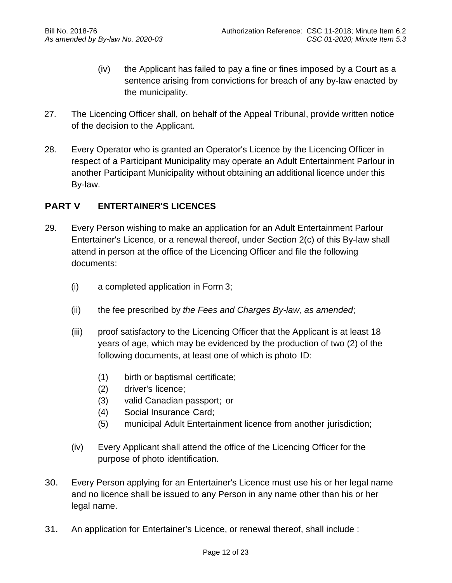- (iv) the Applicant has failed to pay a fine or fines imposed by a Court as a sentence arising from convictions for breach of any by-law enacted by the municipality.
- 27. The Licencing Officer shall, on behalf of the Appeal Tribunal, provide written notice of the decision to the Applicant.
- 28. Every Operator who is granted an Operator's Licence by the Licencing Officer in respect of a Participant Municipality may operate an Adult Entertainment Parlour in another Participant Municipality without obtaining an additional licence under this By-law.

## **PART V ENTERTAINER'S LICENCES**

- 29. Every Person wishing to make an application for an Adult Entertainment Parlour Entertainer's Licence, or a renewal thereof, under Section 2(c) of this By-law shall attend in person at the office of the Licencing Officer and file the following documents:
	- (i) a completed application in Form 3;
	- (ii) the fee prescribed by *the Fees and Charges By-law, as amended*;
	- (iii) proof satisfactory to the Licencing Officer that the Applicant is at least 18 years of age, which may be evidenced by the production of two (2) of the following documents, at least one of which is photo ID:
		- (1) birth or baptismal certificate;
		- (2) driver's licence;
		- (3) valid Canadian passport; or
		- (4) Social Insurance Card;
		- (5) municipal Adult Entertainment licence from another jurisdiction;
	- (iv) Every Applicant shall attend the office of the Licencing Officer for the purpose of photo identification.
- 30. Every Person applying for an Entertainer's Licence must use his or her legal name and no licence shall be issued to any Person in any name other than his or her legal name.
- 31. An application for Entertainer's Licence, or renewal thereof, shall include :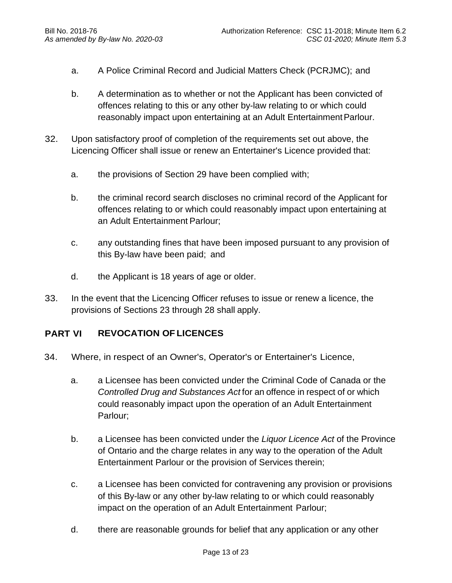- a. A Police Criminal Record and Judicial Matters Check (PCRJMC); and
- b. A determination as to whether or not the Applicant has been convicted of offences relating to this or any other by-law relating to or which could reasonably impact upon entertaining at an Adult Entertainment Parlour.
- 32. Upon satisfactory proof of completion of the requirements set out above, the Licencing Officer shall issue or renew an Entertainer's Licence provided that:
	- a. the provisions of Section 29 have been complied with;
	- b. the criminal record search discloses no criminal record of the Applicant for offences relating to or which could reasonably impact upon entertaining at an Adult Entertainment Parlour;
	- c. any outstanding fines that have been imposed pursuant to any provision of this By-law have been paid; and
	- d. the Applicant is 18 years of age or older.
- 33. In the event that the Licencing Officer refuses to issue or renew a licence, the provisions of Sections 23 through 28 shall apply.

### **PART VI REVOCATION OF LICENCES**

- 34. Where, in respect of an Owner's, Operator's or Entertainer's Licence,
	- a. a Licensee has been convicted under the Criminal Code of Canada or the *Controlled Drug and Substances Act* for an offence in respect of or which could reasonably impact upon the operation of an Adult Entertainment Parlour;
	- b. a Licensee has been convicted under the *Liquor Licence Act* of the Province of Ontario and the charge relates in any way to the operation of the Adult Entertainment Parlour or the provision of Services therein;
	- c. a Licensee has been convicted for contravening any provision or provisions of this By-law or any other by-law relating to or which could reasonably impact on the operation of an Adult Entertainment Parlour;
	- d. there are reasonable grounds for belief that any application or any other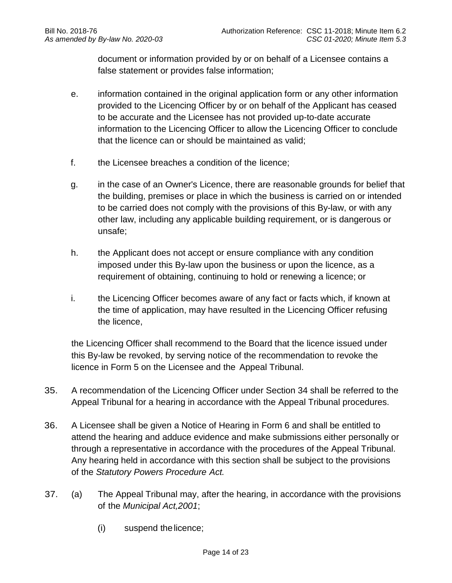document or information provided by or on behalf of a Licensee contains a false statement or provides false information;

- e. information contained in the original application form or any other information provided to the Licencing Officer by or on behalf of the Applicant has ceased to be accurate and the Licensee has not provided up-to-date accurate information to the Licencing Officer to allow the Licencing Officer to conclude that the licence can or should be maintained as valid;
- f. the Licensee breaches a condition of the licence;
- g. in the case of an Owner's Licence, there are reasonable grounds for belief that the building, premises or place in which the business is carried on or intended to be carried does not comply with the provisions of this By-law, or with any other law, including any applicable building requirement, or is dangerous or unsafe;
- h. the Applicant does not accept or ensure compliance with any condition imposed under this By-law upon the business or upon the licence, as a requirement of obtaining, continuing to hold or renewing a licence; or
- i. the Licencing Officer becomes aware of any fact or facts which, if known at the time of application, may have resulted in the Licencing Officer refusing the licence,

the Licencing Officer shall recommend to the Board that the licence issued under this By-law be revoked, by serving notice of the recommendation to revoke the licence in Form 5 on the Licensee and the Appeal Tribunal.

- 35. A recommendation of the Licencing Officer under Section 34 shall be referred to the Appeal Tribunal for a hearing in accordance with the Appeal Tribunal procedures.
- 36. A Licensee shall be given a Notice of Hearing in Form 6 and shall be entitled to attend the hearing and adduce evidence and make submissions either personally or through a representative in accordance with the procedures of the Appeal Tribunal. Any hearing held in accordance with this section shall be subject to the provisions of the *Statutory Powers Procedure Act.*
- 37. (a) The Appeal Tribunal may, after the hearing, in accordance with the provisions of the *Municipal Act,2001*;
	- (i) suspend thelicence;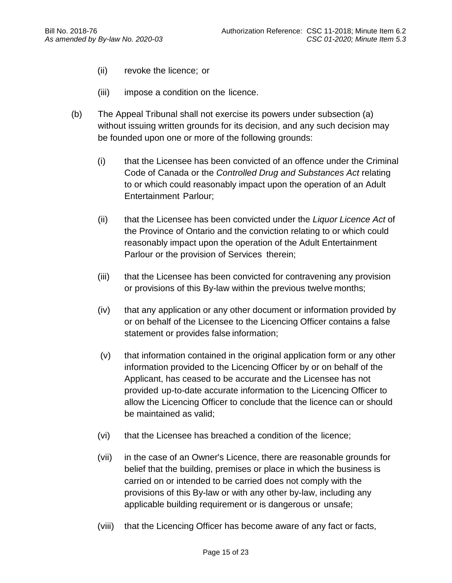- (ii) revoke the licence; or
- (iii) impose a condition on the licence.
- (b) The Appeal Tribunal shall not exercise its powers under subsection (a) without issuing written grounds for its decision, and any such decision may be founded upon one or more of the following grounds:
	- (i) that the Licensee has been convicted of an offence under the Criminal Code of Canada or the *Controlled Drug and Substances Act* relating to or which could reasonably impact upon the operation of an Adult Entertainment Parlour;
	- (ii) that the Licensee has been convicted under the *Liquor Licence Act* of the Province of Ontario and the conviction relating to or which could reasonably impact upon the operation of the Adult Entertainment Parlour or the provision of Services therein;
	- (iii) that the Licensee has been convicted for contravening any provision or provisions of this By-law within the previous twelve months;
	- (iv) that any application or any other document or information provided by or on behalf of the Licensee to the Licencing Officer contains a false statement or provides false information;
	- (v) that information contained in the original application form or any other information provided to the Licencing Officer by or on behalf of the Applicant, has ceased to be accurate and the Licensee has not provided up-to-date accurate information to the Licencing Officer to allow the Licencing Officer to conclude that the licence can or should be maintained as valid;
	- (vi) that the Licensee has breached a condition of the licence;
	- (vii) in the case of an Owner's Licence, there are reasonable grounds for belief that the building, premises or place in which the business is carried on or intended to be carried does not comply with the provisions of this By-law or with any other by-law, including any applicable building requirement or is dangerous or unsafe;
	- (viii) that the Licencing Officer has become aware of any fact or facts,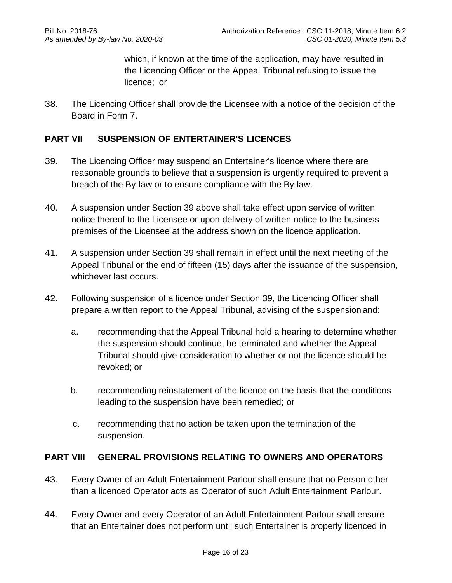which, if known at the time of the application, may have resulted in the Licencing Officer or the Appeal Tribunal refusing to issue the licence; or

38. The Licencing Officer shall provide the Licensee with a notice of the decision of the Board in Form 7.

### **PART VII SUSPENSION OF ENTERTAINER'S LICENCES**

- 39. The Licencing Officer may suspend an Entertainer's licence where there are reasonable grounds to believe that a suspension is urgently required to prevent a breach of the By-law or to ensure compliance with the By-law.
- 40. A suspension under Section 39 above shall take effect upon service of written notice thereof to the Licensee or upon delivery of written notice to the business premises of the Licensee at the address shown on the licence application.
- 41. A suspension under Section 39 shall remain in effect until the next meeting of the Appeal Tribunal or the end of fifteen (15) days after the issuance of the suspension, whichever last occurs.
- 42. Following suspension of a licence under Section 39, the Licencing Officer shall prepare a written report to the Appeal Tribunal, advising of the suspension and:
	- a. recommending that the Appeal Tribunal hold a hearing to determine whether the suspension should continue, be terminated and whether the Appeal Tribunal should give consideration to whether or not the licence should be revoked; or
	- b. recommending reinstatement of the licence on the basis that the conditions leading to the suspension have been remedied; or
	- c. recommending that no action be taken upon the termination of the suspension.

### **PART VIII GENERAL PROVISIONS RELATING TO OWNERS AND OPERATORS**

- 43. Every Owner of an Adult Entertainment Parlour shall ensure that no Person other than a licenced Operator acts as Operator of such Adult Entertainment Parlour.
- 44. Every Owner and every Operator of an Adult Entertainment Parlour shall ensure that an Entertainer does not perform until such Entertainer is properly licenced in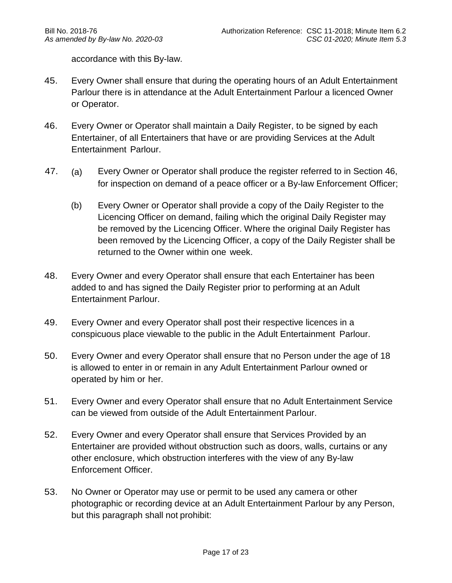accordance with this By-law.

- 45. Every Owner shall ensure that during the operating hours of an Adult Entertainment Parlour there is in attendance at the Adult Entertainment Parlour a licenced Owner or Operator.
- 46. Every Owner or Operator shall maintain a Daily Register, to be signed by each Entertainer, of all Entertainers that have or are providing Services at the Adult Entertainment Parlour.
- 47. (a) Every Owner or Operator shall produce the register referred to in Section 46, for inspection on demand of a peace officer or a By-law Enforcement Officer;
	- (b) Every Owner or Operator shall provide a copy of the Daily Register to the Licencing Officer on demand, failing which the original Daily Register may be removed by the Licencing Officer. Where the original Daily Register has been removed by the Licencing Officer, a copy of the Daily Register shall be returned to the Owner within one week.
- 48. Every Owner and every Operator shall ensure that each Entertainer has been added to and has signed the Daily Register prior to performing at an Adult Entertainment Parlour.
- 49. Every Owner and every Operator shall post their respective licences in a conspicuous place viewable to the public in the Adult Entertainment Parlour.
- 50. Every Owner and every Operator shall ensure that no Person under the age of 18 is allowed to enter in or remain in any Adult Entertainment Parlour owned or operated by him or her.
- 51. Every Owner and every Operator shall ensure that no Adult Entertainment Service can be viewed from outside of the Adult Entertainment Parlour.
- 52. Every Owner and every Operator shall ensure that Services Provided by an Entertainer are provided without obstruction such as doors, walls, curtains or any other enclosure, which obstruction interferes with the view of any By-law Enforcement Officer.
- 53. No Owner or Operator may use or permit to be used any camera or other photographic or recording device at an Adult Entertainment Parlour by any Person, but this paragraph shall not prohibit: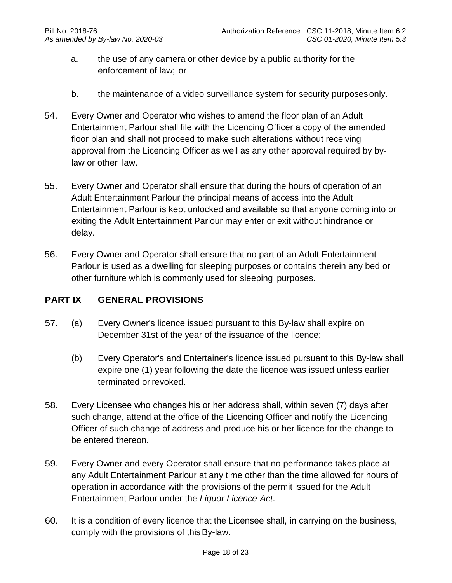- a. the use of any camera or other device by a public authority for the enforcement of law; or
- b. the maintenance of a video surveillance system for security purposesonly.
- 54. Every Owner and Operator who wishes to amend the floor plan of an Adult Entertainment Parlour shall file with the Licencing Officer a copy of the amended floor plan and shall not proceed to make such alterations without receiving approval from the Licencing Officer as well as any other approval required by bylaw or other law.
- 55. Every Owner and Operator shall ensure that during the hours of operation of an Adult Entertainment Parlour the principal means of access into the Adult Entertainment Parlour is kept unlocked and available so that anyone coming into or exiting the Adult Entertainment Parlour may enter or exit without hindrance or delay.
- 56. Every Owner and Operator shall ensure that no part of an Adult Entertainment Parlour is used as a dwelling for sleeping purposes or contains therein any bed or other furniture which is commonly used for sleeping purposes.

### **PART IX GENERAL PROVISIONS**

- 57. (a) Every Owner's licence issued pursuant to this By-law shall expire on December 31st of the year of the issuance of the licence;
	- (b) Every Operator's and Entertainer's licence issued pursuant to this By-law shall expire one (1) year following the date the licence was issued unless earlier terminated or revoked.
- 58. Every Licensee who changes his or her address shall, within seven (7) days after such change, attend at the office of the Licencing Officer and notify the Licencing Officer of such change of address and produce his or her licence for the change to be entered thereon.
- 59. Every Owner and every Operator shall ensure that no performance takes place at any Adult Entertainment Parlour at any time other than the time allowed for hours of operation in accordance with the provisions of the permit issued for the Adult Entertainment Parlour under the *Liquor Licence Act*.
- 60. It is a condition of every licence that the Licensee shall, in carrying on the business, comply with the provisions of thisBy-law.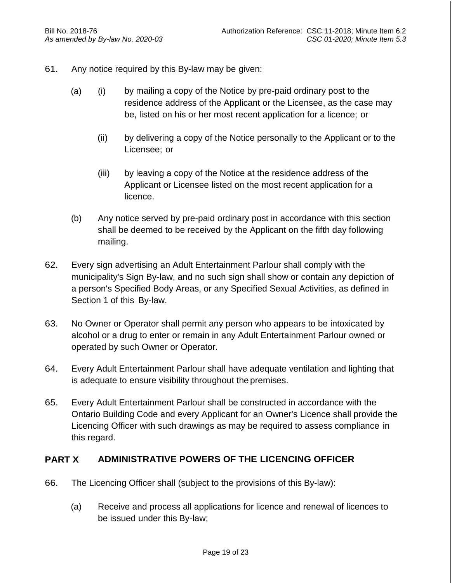- 61. Any notice required by this By-law may be given:
	- (a) (i) by mailing a copy of the Notice by pre-paid ordinary post to the residence address of the Applicant or the Licensee, as the case may be, listed on his or her most recent application for a licence; or
		- (ii) by delivering a copy of the Notice personally to the Applicant or to the Licensee; or
		- (iii) by leaving a copy of the Notice at the residence address of the Applicant or Licensee listed on the most recent application for a licence.
	- (b) Any notice served by pre-paid ordinary post in accordance with this section shall be deemed to be received by the Applicant on the fifth day following mailing.
- 62. Every sign advertising an Adult Entertainment Parlour shall comply with the municipality's Sign By-law, and no such sign shall show or contain any depiction of a person's Specified Body Areas, or any Specified Sexual Activities, as defined in Section 1 of this By-law.
- 63. No Owner or Operator shall permit any person who appears to be intoxicated by alcohol or a drug to enter or remain in any Adult Entertainment Parlour owned or operated by such Owner or Operator.
- 64. Every Adult Entertainment Parlour shall have adequate ventilation and lighting that is adequate to ensure visibility throughout the premises.
- 65. Every Adult Entertainment Parlour shall be constructed in accordance with the Ontario Building Code and every Applicant for an Owner's Licence shall provide the Licencing Officer with such drawings as may be required to assess compliance in this regard.

### **PART X ADMINISTRATIVE POWERS OF THE LICENCING OFFICER**

- 66. The Licencing Officer shall (subject to the provisions of this By-law):
	- (a) Receive and process all applications for licence and renewal of licences to be issued under this By-law;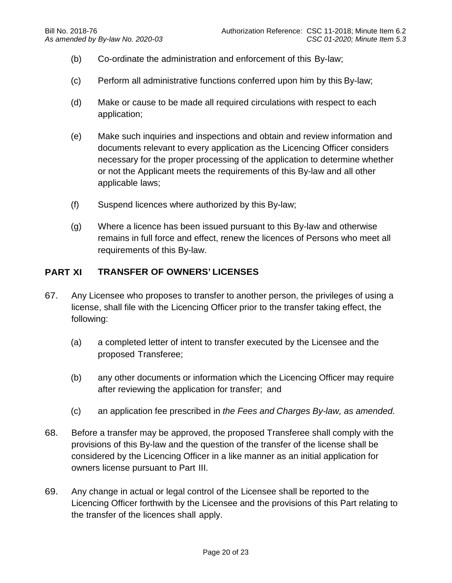- (b) Co-ordinate the administration and enforcement of this By-law;
- (c) Perform all administrative functions conferred upon him by this By-law;
- (d) Make or cause to be made all required circulations with respect to each application;
- (e) Make such inquiries and inspections and obtain and review information and documents relevant to every application as the Licencing Officer considers necessary for the proper processing of the application to determine whether or not the Applicant meets the requirements of this By-law and all other applicable laws;
- (f) Suspend licences where authorized by this By-law;
- (g) Where a licence has been issued pursuant to this By-law and otherwise remains in full force and effect, renew the licences of Persons who meet all requirements of this By-law.

## **PART XI TRANSFER OF OWNERS' LICENSES**

- 67. Any Licensee who proposes to transfer to another person, the privileges of using a license, shall file with the Licencing Officer prior to the transfer taking effect, the following:
	- (a) a completed letter of intent to transfer executed by the Licensee and the proposed Transferee;
	- (b) any other documents or information which the Licencing Officer may require after reviewing the application for transfer; and
	- (c) an application fee prescribed in *the Fees and Charges By-law, as amended*.
- 68. Before a transfer may be approved, the proposed Transferee shall comply with the provisions of this By-law and the question of the transfer of the license shall be considered by the Licencing Officer in a like manner as an initial application for owners license pursuant to Part III.
- 69. Any change in actual or legal control of the Licensee shall be reported to the Licencing Officer forthwith by the Licensee and the provisions of this Part relating to the transfer of the licences shall apply.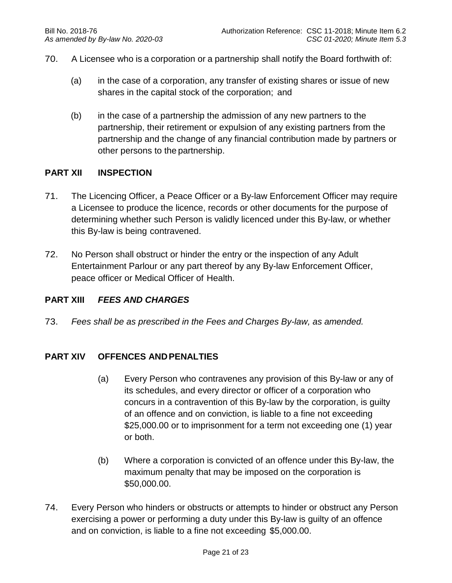- 70. A Licensee who is a corporation or a partnership shall notify the Board forthwith of:
	- (a) in the case of a corporation, any transfer of existing shares or issue of new shares in the capital stock of the corporation; and
	- (b) in the case of a partnership the admission of any new partners to the partnership, their retirement or expulsion of any existing partners from the partnership and the change of any financial contribution made by partners or other persons to the partnership.

#### **PART XII INSPECTION**

- 71. The Licencing Officer, a Peace Officer or a By-law Enforcement Officer may require a Licensee to produce the licence, records or other documents for the purpose of determining whether such Person is validly licenced under this By-law, or whether this By-law is being contravened.
- 72. No Person shall obstruct or hinder the entry or the inspection of any Adult Entertainment Parlour or any part thereof by any By-law Enforcement Officer, peace officer or Medical Officer of Health.

#### **PART XIII** *FEES AND CHARGES*

73. *Fees shall be as prescribed in the Fees and Charges By-law, as amended.*

#### **PART XIV OFFENCES ANDPENALTIES**

- (a) Every Person who contravenes any provision of this By-law or any of its schedules, and every director or officer of a corporation who concurs in a contravention of this By-law by the corporation, is guilty of an offence and on conviction, is liable to a fine not exceeding \$25,000.00 or to imprisonment for a term not exceeding one (1) year or both.
- (b) Where a corporation is convicted of an offence under this By-law, the maximum penalty that may be imposed on the corporation is \$50,000.00.
- 74. Every Person who hinders or obstructs or attempts to hinder or obstruct any Person exercising a power or performing a duty under this By-law is guilty of an offence and on conviction, is liable to a fine not exceeding \$5,000.00.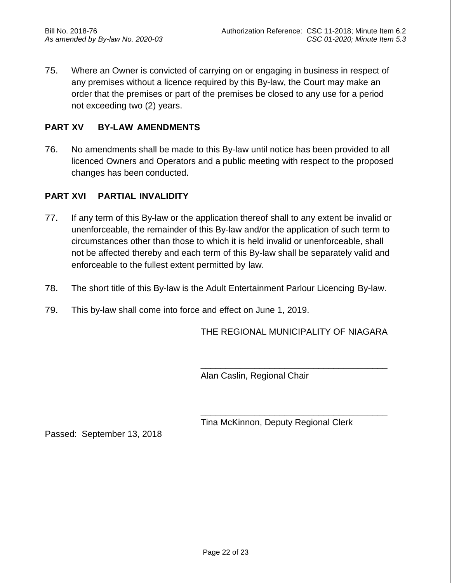75. Where an Owner is convicted of carrying on or engaging in business in respect of any premises without a licence required by this By-law, the Court may make an order that the premises or part of the premises be closed to any use for a period not exceeding two (2) years.

## **PART XV BY-LAW AMENDMENTS**

76. No amendments shall be made to this By-law until notice has been provided to all licenced Owners and Operators and a public meeting with respect to the proposed changes has been conducted.

### **PART XVI PARTIAL INVALIDITY**

- 77. If any term of this By-law or the application thereof shall to any extent be invalid or unenforceable, the remainder of this By-law and/or the application of such term to circumstances other than those to which it is held invalid or unenforceable, shall not be affected thereby and each term of this By-law shall be separately valid and enforceable to the fullest extent permitted by law.
- 78. The short title of this By-law is the Adult Entertainment Parlour Licencing By-law.
- 79. This by-law shall come into force and effect on June 1, 2019.

THE REGIONAL MUNICIPALITY OF NIAGARA

\_\_\_\_\_\_\_\_\_\_\_\_\_\_\_\_\_\_\_\_\_\_\_\_\_\_\_\_\_\_\_\_\_\_\_\_\_\_

\_\_\_\_\_\_\_\_\_\_\_\_\_\_\_\_\_\_\_\_\_\_\_\_\_\_\_\_\_\_\_\_\_\_\_\_\_\_

Alan Caslin, Regional Chair

Tina McKinnon, Deputy Regional Clerk

Passed: September 13, 2018